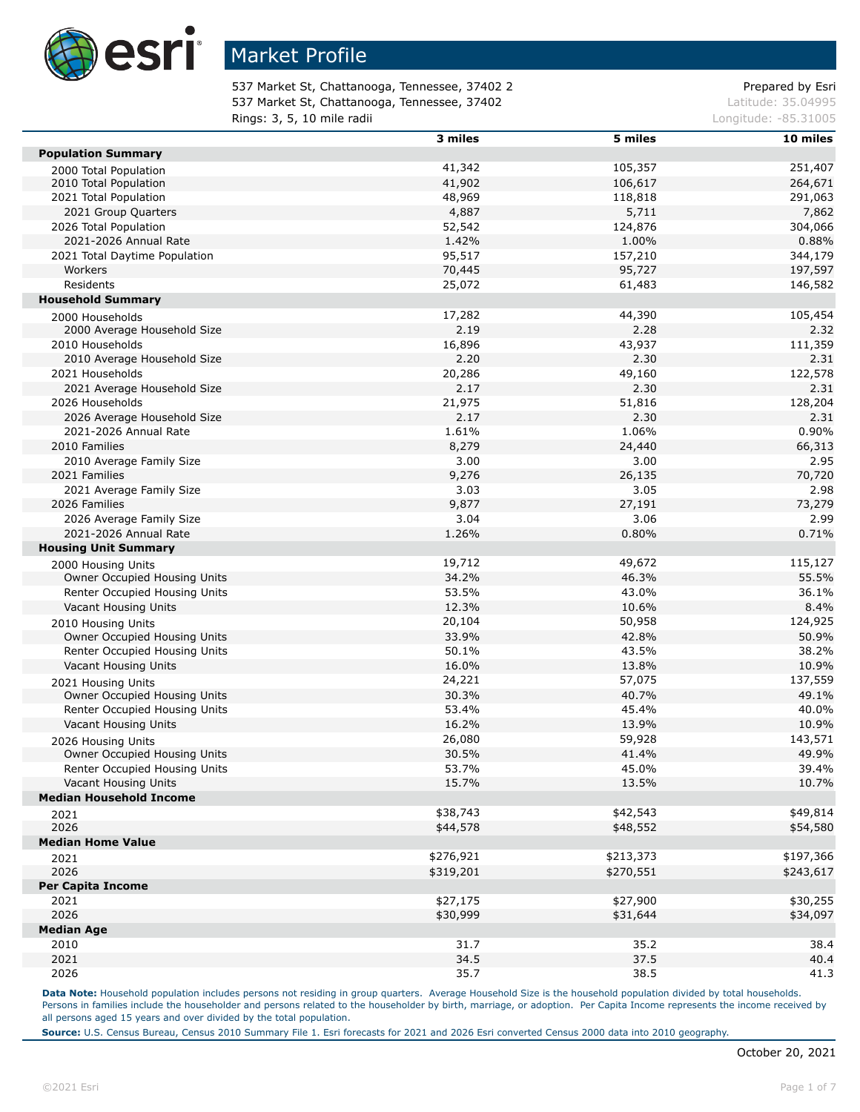

537 Market St, Chattanooga, Tennessee, 37402 2 Prepared by Esri 537 Market St, Chattanooga, Tennessee, 37402 Latitude: 35.04995 **Rings: 3, 5, 10 mile radii Longitude: -85.31005 Longitude: -85.31005** 

|                                | 3 miles   | 5 miles   | 10 miles  |
|--------------------------------|-----------|-----------|-----------|
| <b>Population Summary</b>      |           |           |           |
| 2000 Total Population          | 41,342    | 105,357   | 251,407   |
| 2010 Total Population          | 41,902    | 106,617   | 264,671   |
| 2021 Total Population          | 48,969    | 118,818   | 291,063   |
| 2021 Group Quarters            | 4,887     | 5,711     | 7,862     |
| 2026 Total Population          | 52,542    | 124,876   | 304,066   |
| 2021-2026 Annual Rate          | 1.42%     | 1.00%     | 0.88%     |
| 2021 Total Daytime Population  | 95,517    | 157,210   | 344,179   |
| Workers                        | 70,445    | 95,727    | 197,597   |
| Residents                      | 25,072    | 61,483    | 146,582   |
| <b>Household Summary</b>       |           |           |           |
| 2000 Households                | 17,282    | 44,390    | 105,454   |
| 2000 Average Household Size    | 2.19      | 2.28      | 2.32      |
| 2010 Households                | 16,896    | 43,937    | 111,359   |
| 2010 Average Household Size    | 2.20      | 2.30      | 2.31      |
| 2021 Households                | 20,286    | 49,160    | 122,578   |
| 2021 Average Household Size    | 2.17      | 2.30      | 2.31      |
| 2026 Households                | 21,975    | 51,816    | 128,204   |
| 2026 Average Household Size    | 2.17      | 2.30      | 2.31      |
| 2021-2026 Annual Rate          | 1.61%     | 1.06%     | 0.90%     |
| 2010 Families                  | 8,279     | 24,440    | 66,313    |
| 2010 Average Family Size       | 3.00      | 3.00      | 2.95      |
| 2021 Families                  | 9,276     | 26,135    | 70,720    |
| 2021 Average Family Size       | 3.03      | 3.05      | 2.98      |
| 2026 Families                  | 9,877     | 27,191    | 73,279    |
| 2026 Average Family Size       | 3.04      | 3.06      | 2.99      |
| 2021-2026 Annual Rate          | 1.26%     | 0.80%     | 0.71%     |
| <b>Housing Unit Summary</b>    |           |           |           |
| 2000 Housing Units             | 19,712    | 49,672    | 115,127   |
| Owner Occupied Housing Units   | 34.2%     | 46.3%     | 55.5%     |
| Renter Occupied Housing Units  | 53.5%     | 43.0%     | 36.1%     |
| Vacant Housing Units           | 12.3%     | 10.6%     | 8.4%      |
| 2010 Housing Units             | 20,104    | 50,958    | 124,925   |
| Owner Occupied Housing Units   | 33.9%     | 42.8%     | 50.9%     |
| Renter Occupied Housing Units  | 50.1%     | 43.5%     | 38.2%     |
| Vacant Housing Units           | 16.0%     | 13.8%     | 10.9%     |
| 2021 Housing Units             | 24,221    | 57,075    | 137,559   |
| Owner Occupied Housing Units   | 30.3%     | 40.7%     | 49.1%     |
| Renter Occupied Housing Units  | 53.4%     | 45.4%     | 40.0%     |
| Vacant Housing Units           | 16.2%     | 13.9%     | 10.9%     |
| 2026 Housing Units             | 26,080    | 59,928    | 143,571   |
| Owner Occupied Housing Units   | 30.5%     | 41.4%     | 49.9%     |
| Renter Occupied Housing Units  | 53.7%     | 45.0%     | 39.4%     |
| Vacant Housing Units           | 15.7%     | 13.5%     | 10.7%     |
| <b>Median Household Income</b> |           |           |           |
| 2021                           | \$38,743  | \$42,543  | \$49,814  |
| 2026                           | \$44,578  | \$48,552  | \$54,580  |
| <b>Median Home Value</b>       |           |           |           |
| 2021                           | \$276,921 | \$213,373 | \$197,366 |
| 2026                           | \$319,201 | \$270,551 | \$243,617 |
| <b>Per Capita Income</b>       |           |           |           |
| 2021                           | \$27,175  | \$27,900  | \$30,255  |
| 2026                           | \$30,999  | \$31,644  | \$34,097  |
| <b>Median Age</b>              |           |           |           |
| 2010                           | 31.7      | 35.2      | 38.4      |
| 2021                           | 34.5      | 37.5      | 40.4      |
| 2026                           | 35.7      | 38.5      | 41.3      |

Data Note: Household population includes persons not residing in group quarters. Average Household Size is the household population divided by total households. Persons in families include the householder and persons related to the householder by birth, marriage, or adoption. Per Capita Income represents the income received by all persons aged 15 years and over divided by the total population.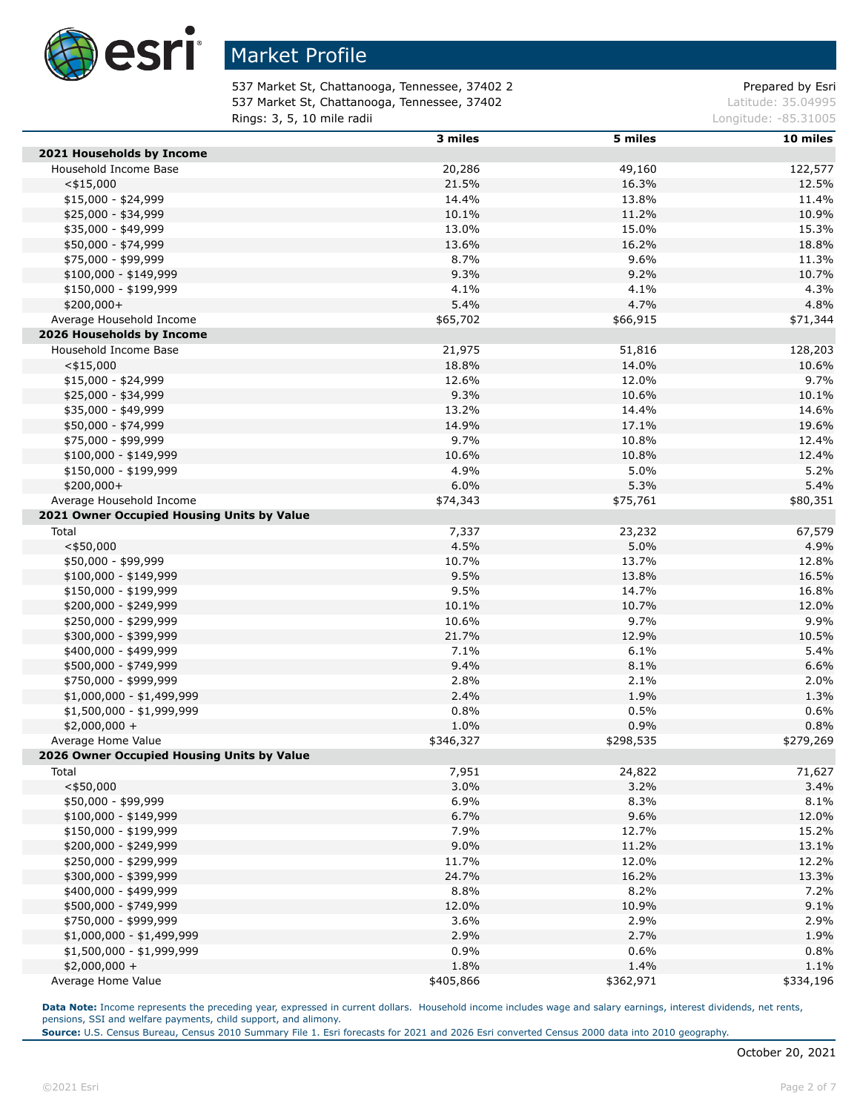

537 Market St, Chattanooga, Tennessee, 37402 2 Prepared by Esri 537 Market St, Chattanooga, Tennessee, 37402 Latitude: 35.04995 **Rings: 3, 5, 10 mile radii Longitude: -85.31005 Longitude: -85.31005** 

|                                            | 3 miles   | 5 miles   | 10 miles  |
|--------------------------------------------|-----------|-----------|-----------|
| 2021 Households by Income                  |           |           |           |
| Household Income Base                      | 20,286    | 49,160    | 122,577   |
| $<$ \$15,000                               | 21.5%     | 16.3%     | 12.5%     |
| \$15,000 - \$24,999                        | 14.4%     | 13.8%     | 11.4%     |
| \$25,000 - \$34,999                        | 10.1%     | 11.2%     | 10.9%     |
| \$35,000 - \$49,999                        | 13.0%     | 15.0%     | 15.3%     |
| \$50,000 - \$74,999                        | 13.6%     | 16.2%     | 18.8%     |
| \$75,000 - \$99,999                        | 8.7%      | 9.6%      | 11.3%     |
| $$100,000 - $149,999$                      | 9.3%      | 9.2%      | 10.7%     |
| \$150,000 - \$199,999                      | 4.1%      | 4.1%      | 4.3%      |
| \$200,000+                                 | 5.4%      | 4.7%      | 4.8%      |
| Average Household Income                   | \$65,702  | \$66,915  | \$71,344  |
| 2026 Households by Income                  |           |           |           |
| Household Income Base                      | 21,975    | 51,816    | 128,203   |
| $<$ \$15,000                               | 18.8%     | 14.0%     | 10.6%     |
|                                            |           |           |           |
| $$15,000 - $24,999$                        | 12.6%     | 12.0%     | 9.7%      |
| \$25,000 - \$34,999                        | 9.3%      | 10.6%     | 10.1%     |
| \$35,000 - \$49,999                        | 13.2%     | 14.4%     | 14.6%     |
| \$50,000 - \$74,999                        | 14.9%     | 17.1%     | 19.6%     |
| \$75,000 - \$99,999                        | 9.7%      | 10.8%     | 12.4%     |
| $$100,000 - $149,999$                      | 10.6%     | 10.8%     | 12.4%     |
| \$150,000 - \$199,999                      | 4.9%      | 5.0%      | 5.2%      |
| $$200,000+$                                | 6.0%      | 5.3%      | 5.4%      |
| Average Household Income                   | \$74,343  | \$75,761  | \$80,351  |
| 2021 Owner Occupied Housing Units by Value |           |           |           |
| Total                                      | 7,337     | 23,232    | 67,579    |
| $<$ \$50,000                               | 4.5%      | 5.0%      | 4.9%      |
| \$50,000 - \$99,999                        | 10.7%     | 13.7%     | 12.8%     |
| $$100,000 - $149,999$                      | 9.5%      | 13.8%     | 16.5%     |
| \$150,000 - \$199,999                      | 9.5%      | 14.7%     | 16.8%     |
| \$200,000 - \$249,999                      | 10.1%     | 10.7%     | 12.0%     |
| \$250,000 - \$299,999                      | 10.6%     | 9.7%      | 9.9%      |
| \$300,000 - \$399,999                      | 21.7%     | 12.9%     | 10.5%     |
| \$400,000 - \$499,999                      | 7.1%      | 6.1%      | 5.4%      |
| \$500,000 - \$749,999                      | 9.4%      | 8.1%      | 6.6%      |
| \$750,000 - \$999,999                      | 2.8%      | 2.1%      | 2.0%      |
| $$1,000,000 - $1,499,999$                  | 2.4%      | 1.9%      | 1.3%      |
| \$1,500,000 - \$1,999,999                  | 0.8%      | 0.5%      | 0.6%      |
| $$2,000,000 +$                             | 1.0%      | 0.9%      | 0.8%      |
| Average Home Value                         | \$346,327 | \$298,535 | \$279,269 |
| 2026 Owner Occupied Housing Units by Value |           |           |           |
| Total                                      | 7,951     | 24,822    | 71,627    |
| $<$ \$50,000                               | 3.0%      | 3.2%      | 3.4%      |
|                                            |           |           |           |
| \$50,000 - \$99,999                        | 6.9%      | 8.3%      | 8.1%      |
| $$100,000 - $149,999$                      | 6.7%      | 9.6%      | 12.0%     |
| \$150,000 - \$199,999                      | 7.9%      | 12.7%     | 15.2%     |
| \$200,000 - \$249,999                      | 9.0%      | 11.2%     | 13.1%     |
| \$250,000 - \$299,999                      | 11.7%     | 12.0%     | 12.2%     |
| \$300,000 - \$399,999                      | 24.7%     | 16.2%     | 13.3%     |
| \$400,000 - \$499,999                      | 8.8%      | 8.2%      | 7.2%      |
| \$500,000 - \$749,999                      | 12.0%     | 10.9%     | 9.1%      |
| \$750,000 - \$999,999                      | 3.6%      | 2.9%      | 2.9%      |
| \$1,000,000 - \$1,499,999                  | 2.9%      | 2.7%      | 1.9%      |
| $$1,500,000 - $1,999,999$                  | 0.9%      | 0.6%      | 0.8%      |
| $$2,000,000 +$                             | 1.8%      | 1.4%      | 1.1%      |
| Average Home Value                         | \$405,866 | \$362,971 | \$334,196 |

**Data Note:** Income represents the preceding year, expressed in current dollars. Household income includes wage and salary earnings, interest dividends, net rents, pensions, SSI and welfare payments, child support, and alimony.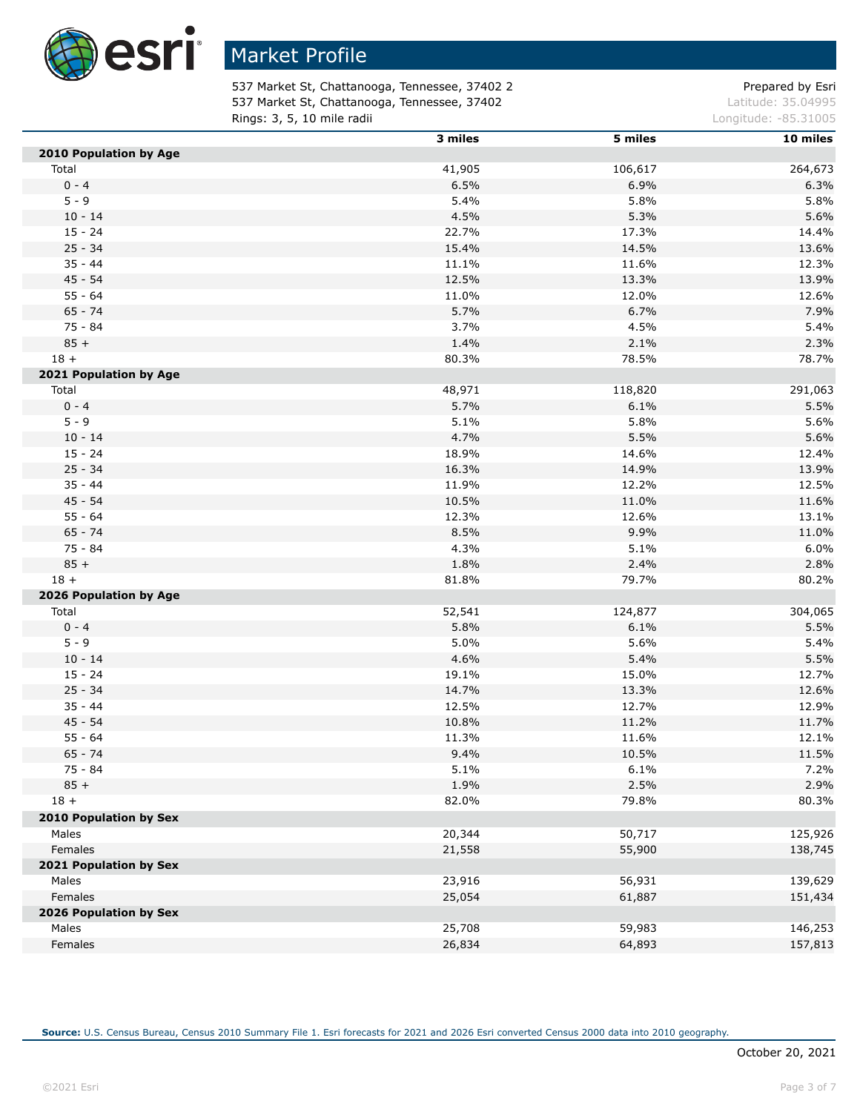

537 Market St, Chattanooga, Tennessee, 37402 2 Prepared by Esri 537 Market St, Chattanooga, Tennessee, 37402 Latitude: 35.04995 **Rings: 3, 5, 10 mile radii Longitude: -85.31005 Longitude: -85.31005** 

|                                 | 3 miles        | 5 miles         | 10 miles |
|---------------------------------|----------------|-----------------|----------|
| 2010 Population by Age          |                |                 |          |
| Total                           | 41,905         | 106,617         | 264,673  |
| $0 - 4$                         | 6.5%           | 6.9%            | 6.3%     |
| $5 - 9$                         | 5.4%           | 5.8%            | 5.8%     |
| $10 - 14$                       | 4.5%           | 5.3%            | 5.6%     |
| $15 - 24$                       | 22.7%          | 17.3%           | 14.4%    |
| $25 - 34$                       | 15.4%          | 14.5%           | 13.6%    |
| $35 - 44$                       | 11.1%          | 11.6%           | 12.3%    |
| 45 - 54                         | 12.5%          | 13.3%           | 13.9%    |
| $55 - 64$                       | 11.0%          | 12.0%           | 12.6%    |
| $65 - 74$                       | 5.7%           | 6.7%            | 7.9%     |
| $75 - 84$                       | 3.7%           | 4.5%            | 5.4%     |
| $85 +$                          | 1.4%           | 2.1%            | 2.3%     |
| $18 +$                          | 80.3%          | 78.5%           | 78.7%    |
| 2021 Population by Age          |                |                 |          |
| Total                           | 48,971         | 118,820         | 291,063  |
| $0 - 4$                         | 5.7%           | 6.1%            | 5.5%     |
| $5 - 9$                         | 5.1%           | 5.8%            | 5.6%     |
| $10 - 14$                       | 4.7%           | 5.5%            | 5.6%     |
| $15 - 24$                       | 18.9%          | 14.6%           | 12.4%    |
| $25 - 34$                       | 16.3%          | 14.9%           | 13.9%    |
| $35 - 44$                       | 11.9%          | 12.2%           | 12.5%    |
| $45 - 54$                       | 10.5%          | 11.0%           | 11.6%    |
| $55 - 64$                       | 12.3%          | 12.6%           | 13.1%    |
| $65 - 74$                       | 8.5%           | 9.9%            | 11.0%    |
| 75 - 84                         | 4.3%           | 5.1%            | 6.0%     |
| $85 +$                          | 1.8%           | 2.4%            | 2.8%     |
| $18 +$                          | 81.8%          | 79.7%           | 80.2%    |
|                                 |                |                 |          |
| 2026 Population by Age<br>Total |                |                 | 304,065  |
| $0 - 4$                         | 52,541<br>5.8% | 124,877<br>6.1% | 5.5%     |
| $5 - 9$                         |                |                 |          |
|                                 | 5.0%           | 5.6%            | 5.4%     |
| $10 - 14$<br>$15 - 24$          | 4.6%           | 5.4%            | 5.5%     |
|                                 | 19.1%          | 15.0%           | 12.7%    |
| $25 - 34$                       | 14.7%          | 13.3%           | 12.6%    |
| $35 - 44$                       | 12.5%          | 12.7%           | 12.9%    |
| $45 - 54$                       | 10.8%          | 11.2%           | 11.7%    |
| $55 - 64$                       | 11.3%          | 11.6%           | 12.1%    |
| $65 - 74$                       | 9.4%           | 10.5%           | 11.5%    |
| 75 - 84                         | 5.1%           | 6.1%            | 7.2%     |
| $85 +$                          | 1.9%           | 2.5%            | 2.9%     |
| $18 +$                          | 82.0%          | 79.8%           | 80.3%    |
| 2010 Population by Sex          |                |                 |          |
| Males                           | 20,344         | 50,717          | 125,926  |
| Females                         | 21,558         | 55,900          | 138,745  |
| 2021 Population by Sex          |                |                 |          |
| Males                           | 23,916         | 56,931          | 139,629  |
| Females                         | 25,054         | 61,887          | 151,434  |
| 2026 Population by Sex          |                |                 |          |
| Males                           | 25,708         | 59,983          | 146,253  |
| Females                         | 26,834         | 64,893          | 157,813  |

I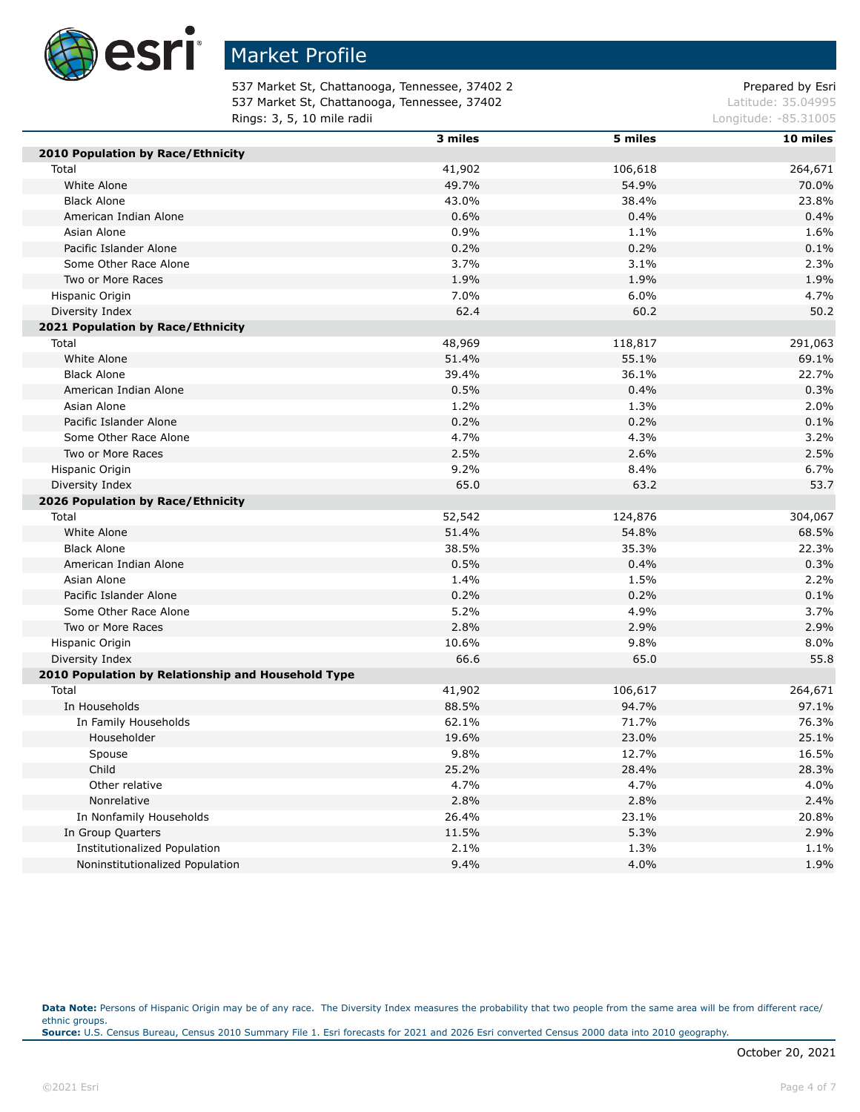

537 Market St, Chattanooga, Tennessee, 37402 2 Prepared by Esri 537 Market St, Chattanooga, Tennessee, 37402 Latitude: 35.04995 **Rings: 3, 5, 10 mile radii Longitude: -85.31005 Longitude: -85.31005** 

|                                                    | 3 miles | 5 miles | 10 miles |
|----------------------------------------------------|---------|---------|----------|
| 2010 Population by Race/Ethnicity                  |         |         |          |
| Total                                              | 41,902  | 106,618 | 264,671  |
| White Alone                                        | 49.7%   | 54.9%   | 70.0%    |
| <b>Black Alone</b>                                 | 43.0%   | 38.4%   | 23.8%    |
| American Indian Alone                              | 0.6%    | 0.4%    | 0.4%     |
| Asian Alone                                        | 0.9%    | 1.1%    | 1.6%     |
| Pacific Islander Alone                             | 0.2%    | 0.2%    | 0.1%     |
| Some Other Race Alone                              | 3.7%    | 3.1%    | 2.3%     |
| Two or More Races                                  | 1.9%    | 1.9%    | 1.9%     |
| Hispanic Origin                                    | 7.0%    | 6.0%    | 4.7%     |
| Diversity Index                                    | 62.4    | 60.2    | 50.2     |
| 2021 Population by Race/Ethnicity                  |         |         |          |
| Total                                              | 48,969  | 118,817 | 291,063  |
| White Alone                                        | 51.4%   | 55.1%   | 69.1%    |
| <b>Black Alone</b>                                 | 39.4%   | 36.1%   | 22.7%    |
| American Indian Alone                              | 0.5%    | 0.4%    | 0.3%     |
| Asian Alone                                        | 1.2%    | 1.3%    | 2.0%     |
| Pacific Islander Alone                             | 0.2%    | 0.2%    | 0.1%     |
| Some Other Race Alone                              | 4.7%    | 4.3%    | 3.2%     |
| Two or More Races                                  | 2.5%    | 2.6%    | 2.5%     |
| Hispanic Origin                                    | 9.2%    | 8.4%    | 6.7%     |
| Diversity Index                                    | 65.0    | 63.2    | 53.7     |
| 2026 Population by Race/Ethnicity                  |         |         |          |
| Total                                              | 52,542  | 124,876 | 304,067  |
| White Alone                                        | 51.4%   | 54.8%   | 68.5%    |
| <b>Black Alone</b>                                 | 38.5%   | 35.3%   | 22.3%    |
| American Indian Alone                              | 0.5%    | 0.4%    | 0.3%     |
| Asian Alone                                        | 1.4%    | 1.5%    | 2.2%     |
| Pacific Islander Alone                             | 0.2%    | 0.2%    | 0.1%     |
| Some Other Race Alone                              | 5.2%    | 4.9%    | 3.7%     |
| Two or More Races                                  | 2.8%    | 2.9%    | 2.9%     |
| Hispanic Origin                                    | 10.6%   | 9.8%    | 8.0%     |
| Diversity Index                                    | 66.6    | 65.0    | 55.8     |
| 2010 Population by Relationship and Household Type |         |         |          |
| Total                                              | 41,902  | 106,617 | 264,671  |
| In Households                                      | 88.5%   | 94.7%   | 97.1%    |
| In Family Households                               | 62.1%   | 71.7%   | 76.3%    |
| Householder                                        | 19.6%   | 23.0%   | 25.1%    |
| Spouse                                             | 9.8%    | 12.7%   | 16.5%    |
| Child                                              | 25.2%   | 28.4%   | 28.3%    |
| Other relative                                     | 4.7%    | 4.7%    | 4.0%     |
| Nonrelative                                        | 2.8%    | 2.8%    | 2.4%     |
| In Nonfamily Households                            | 26.4%   | 23.1%   | 20.8%    |
| In Group Quarters                                  | 11.5%   | 5.3%    | 2.9%     |
| Institutionalized Population                       | 2.1%    | 1.3%    | 1.1%     |
| Noninstitutionalized Population                    | 9.4%    | 4.0%    | 1.9%     |

Data Note: Persons of Hispanic Origin may be of any race. The Diversity Index measures the probability that two people from the same area will be from different race/ ethnic groups. **Source:** U.S. Census Bureau, Census 2010 Summary File 1. Esri forecasts for 2021 and 2026 Esri converted Census 2000 data into 2010 geography.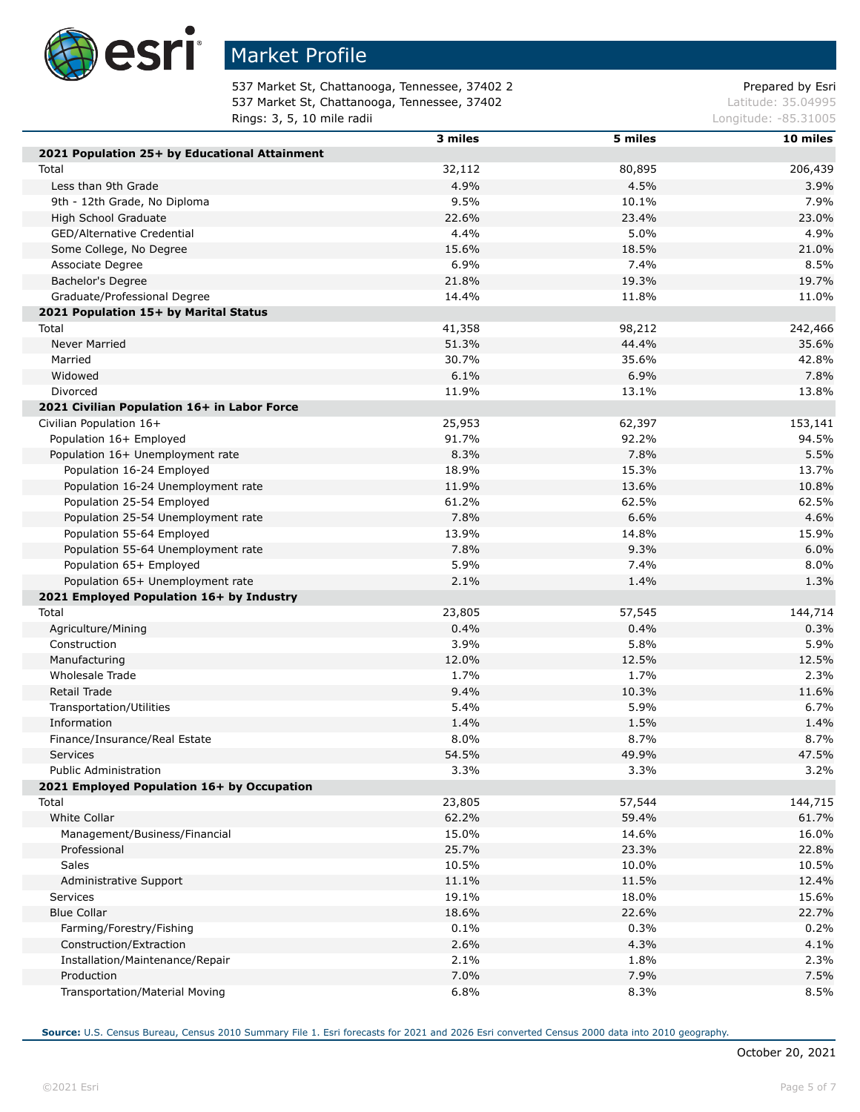

537 Market St, Chattanooga, Tennessee, 37402 2 Prepared by Esri 537 Market St, Chattanooga, Tennessee, 37402 Latitude: 35.04995 **Rings: 3, 5, 10 mile radii Longitude: -85.31005 Longitude: -85.31005** 

|                                               | 3 miles | 5 miles | 10 miles |
|-----------------------------------------------|---------|---------|----------|
| 2021 Population 25+ by Educational Attainment |         |         |          |
| Total                                         | 32,112  | 80,895  | 206,439  |
| Less than 9th Grade                           | 4.9%    | 4.5%    | 3.9%     |
| 9th - 12th Grade, No Diploma                  | 9.5%    | 10.1%   | 7.9%     |
| <b>High School Graduate</b>                   | 22.6%   | 23.4%   | 23.0%    |
| GED/Alternative Credential                    | 4.4%    | 5.0%    | 4.9%     |
| Some College, No Degree                       | 15.6%   | 18.5%   | 21.0%    |
| Associate Degree                              | 6.9%    | 7.4%    | 8.5%     |
| Bachelor's Degree                             | 21.8%   | 19.3%   | 19.7%    |
| Graduate/Professional Degree                  | 14.4%   | 11.8%   | 11.0%    |
| 2021 Population 15+ by Marital Status         |         |         |          |
| Total                                         | 41,358  | 98,212  | 242,466  |
| <b>Never Married</b>                          | 51.3%   | 44.4%   | 35.6%    |
| Married                                       | 30.7%   | 35.6%   | 42.8%    |
| Widowed                                       | 6.1%    | 6.9%    | 7.8%     |
| Divorced                                      | 11.9%   | 13.1%   | 13.8%    |
| 2021 Civilian Population 16+ in Labor Force   |         |         |          |
| Civilian Population 16+                       | 25,953  | 62,397  | 153,141  |
| Population 16+ Employed                       | 91.7%   | 92.2%   | 94.5%    |
| Population 16+ Unemployment rate              | 8.3%    | 7.8%    | 5.5%     |
| Population 16-24 Employed                     | 18.9%   | 15.3%   | 13.7%    |
| Population 16-24 Unemployment rate            | 11.9%   | 13.6%   | 10.8%    |
| Population 25-54 Employed                     | 61.2%   | 62.5%   | 62.5%    |
| Population 25-54 Unemployment rate            | 7.8%    | 6.6%    | 4.6%     |
| Population 55-64 Employed                     | 13.9%   | 14.8%   | 15.9%    |
| Population 55-64 Unemployment rate            | 7.8%    | 9.3%    | 6.0%     |
| Population 65+ Employed                       | 5.9%    | 7.4%    | 8.0%     |
| Population 65+ Unemployment rate              | 2.1%    | 1.4%    | 1.3%     |
| 2021 Employed Population 16+ by Industry      |         |         |          |
| Total                                         | 23,805  | 57,545  | 144,714  |
| Agriculture/Mining                            | 0.4%    | 0.4%    | 0.3%     |
| Construction                                  | 3.9%    | 5.8%    | 5.9%     |
| Manufacturing                                 | 12.0%   | 12.5%   | 12.5%    |
| Wholesale Trade                               | 1.7%    | 1.7%    | 2.3%     |
| <b>Retail Trade</b>                           | 9.4%    | 10.3%   | 11.6%    |
| Transportation/Utilities                      | 5.4%    | 5.9%    | 6.7%     |
| Information                                   | 1.4%    | 1.5%    | 1.4%     |
| Finance/Insurance/Real Estate                 | 8.0%    | 8.7%    | 8.7%     |
| Services                                      | 54.5%   | 49.9%   | 47.5%    |
| <b>Public Administration</b>                  | 3.3%    | 3.3%    | 3.2%     |
| 2021 Employed Population 16+ by Occupation    |         |         |          |
| Total                                         | 23,805  | 57,544  | 144,715  |
| White Collar                                  | 62.2%   | 59.4%   | 61.7%    |
| Management/Business/Financial                 | 15.0%   | 14.6%   | 16.0%    |
| Professional                                  | 25.7%   | 23.3%   | 22.8%    |
| Sales                                         | 10.5%   | 10.0%   | 10.5%    |
| Administrative Support                        | 11.1%   | 11.5%   | 12.4%    |
| <b>Services</b>                               | 19.1%   | 18.0%   | 15.6%    |
| <b>Blue Collar</b>                            | 18.6%   | 22.6%   | 22.7%    |
| Farming/Forestry/Fishing                      | 0.1%    | 0.3%    | 0.2%     |
| Construction/Extraction                       | 2.6%    | 4.3%    | 4.1%     |
| Installation/Maintenance/Repair               | 2.1%    | 1.8%    | 2.3%     |
| Production                                    | 7.0%    | 7.9%    | 7.5%     |
| Transportation/Material Moving                | 6.8%    | 8.3%    | 8.5%     |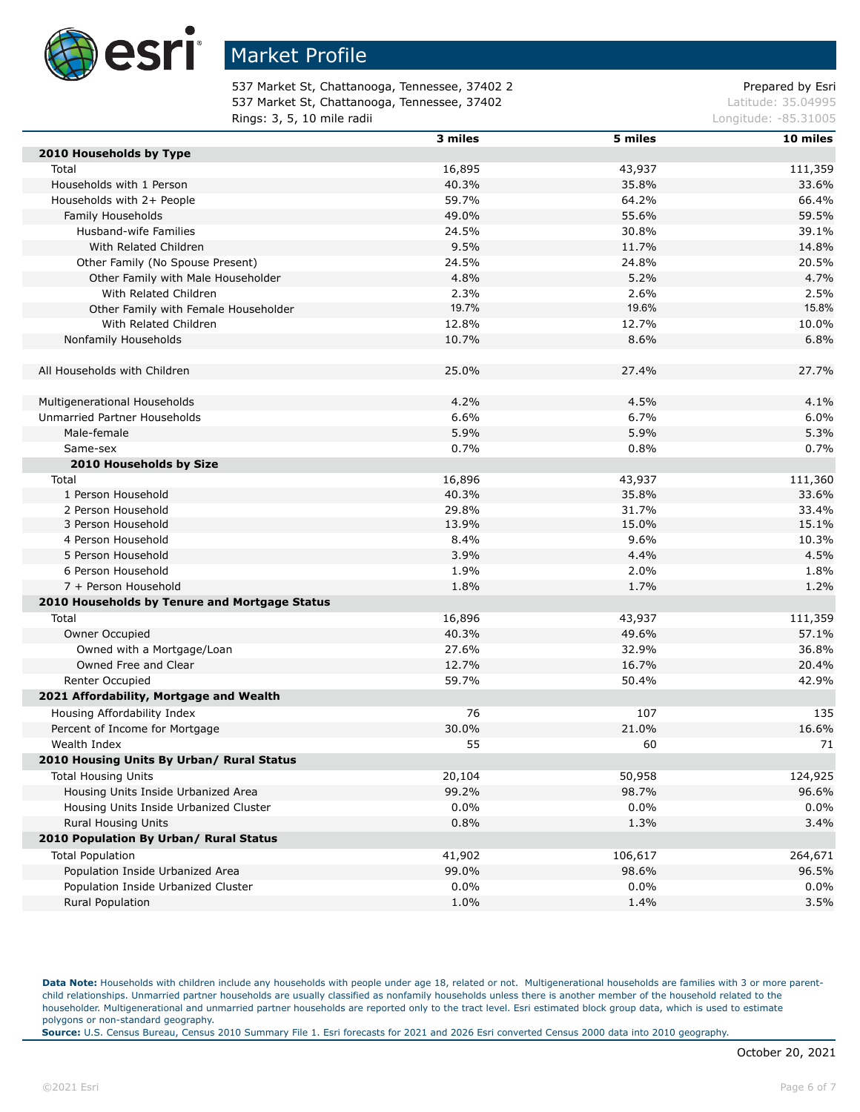

537 Market St, Chattanooga, Tennessee, 37402 2 Prepared by Esri 537 Market St, Chattanooga, Tennessee, 37402 Latitude: 35.04995 **Rings: 3, 5, 10 mile radii Longitude: -85.31005 Longitude: -85.31005** 

|                                               | 3 miles | 5 miles | 10 miles |
|-----------------------------------------------|---------|---------|----------|
| 2010 Households by Type                       |         |         |          |
| Total                                         | 16,895  | 43,937  | 111,359  |
| Households with 1 Person                      | 40.3%   | 35.8%   | 33.6%    |
| Households with 2+ People                     | 59.7%   | 64.2%   | 66.4%    |
| Family Households                             | 49.0%   | 55.6%   | 59.5%    |
| Husband-wife Families                         | 24.5%   | 30.8%   | 39.1%    |
| With Related Children                         | 9.5%    | 11.7%   | 14.8%    |
| Other Family (No Spouse Present)              | 24.5%   | 24.8%   | 20.5%    |
| Other Family with Male Householder            | 4.8%    | 5.2%    | 4.7%     |
| With Related Children                         | 2.3%    | 2.6%    | 2.5%     |
| Other Family with Female Householder          | 19.7%   | 19.6%   | 15.8%    |
| With Related Children                         | 12.8%   | 12.7%   | 10.0%    |
| Nonfamily Households                          | 10.7%   | 8.6%    | 6.8%     |
| All Households with Children                  | 25.0%   | 27.4%   | 27.7%    |
|                                               |         |         |          |
| Multigenerational Households                  | 4.2%    | 4.5%    | 4.1%     |
| Unmarried Partner Households                  | 6.6%    | 6.7%    | 6.0%     |
| Male-female                                   | 5.9%    | 5.9%    | 5.3%     |
| Same-sex                                      | 0.7%    | 0.8%    | 0.7%     |
| 2010 Households by Size                       |         |         |          |
| Total                                         | 16,896  | 43,937  | 111,360  |
| 1 Person Household                            | 40.3%   | 35.8%   | 33.6%    |
| 2 Person Household                            | 29.8%   | 31.7%   | 33.4%    |
| 3 Person Household                            | 13.9%   | 15.0%   | 15.1%    |
| 4 Person Household                            | 8.4%    | 9.6%    | 10.3%    |
| 5 Person Household                            | 3.9%    | 4.4%    | 4.5%     |
| 6 Person Household                            | 1.9%    | 2.0%    | 1.8%     |
| 7 + Person Household                          | 1.8%    | 1.7%    | 1.2%     |
| 2010 Households by Tenure and Mortgage Status |         |         |          |
| Total                                         | 16,896  | 43,937  | 111,359  |
| Owner Occupied                                | 40.3%   | 49.6%   | 57.1%    |
| Owned with a Mortgage/Loan                    | 27.6%   | 32.9%   | 36.8%    |
| Owned Free and Clear                          | 12.7%   | 16.7%   | 20.4%    |
| Renter Occupied                               | 59.7%   | 50.4%   | 42.9%    |
| 2021 Affordability, Mortgage and Wealth       |         |         |          |
| Housing Affordability Index                   | 76      | 107     | 135      |
| Percent of Income for Mortgage                | 30.0%   | 21.0%   | 16.6%    |
|                                               |         |         |          |
| Wealth Index                                  | 55      | 60      | 71       |
| 2010 Housing Units By Urban/ Rural Status     |         |         |          |
| <b>Total Housing Units</b>                    | 20,104  | 50,958  | 124,925  |
| Housing Units Inside Urbanized Area           | 99.2%   | 98.7%   | 96.6%    |
| Housing Units Inside Urbanized Cluster        | 0.0%    | $0.0\%$ | 0.0%     |
| <b>Rural Housing Units</b>                    | 0.8%    | 1.3%    | 3.4%     |
| 2010 Population By Urban/ Rural Status        |         |         |          |
| <b>Total Population</b>                       | 41,902  | 106,617 | 264,671  |
| Population Inside Urbanized Area              | 99.0%   | 98.6%   | 96.5%    |
| Population Inside Urbanized Cluster           | 0.0%    | 0.0%    | 0.0%     |
| <b>Rural Population</b>                       | 1.0%    | 1.4%    | 3.5%     |

Data Note: Households with children include any households with people under age 18, related or not. Multigenerational households are families with 3 or more parentchild relationships. Unmarried partner households are usually classified as nonfamily households unless there is another member of the household related to the householder. Multigenerational and unmarried partner households are reported only to the tract level. Esri estimated block group data, which is used to estimate polygons or non-standard geography.